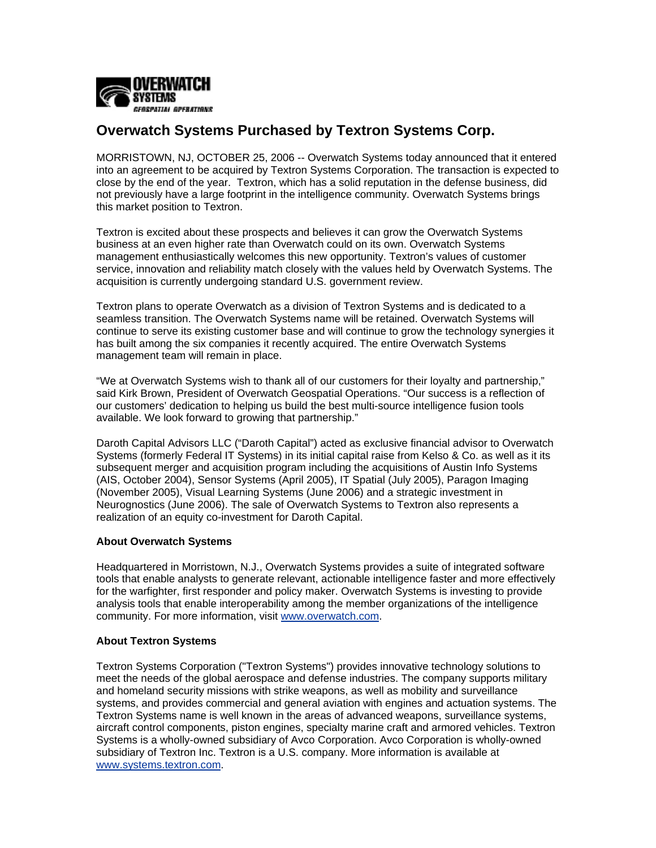

## **Overwatch Systems Purchased by Textron Systems Corp.**

MORRISTOWN, NJ, OCTOBER 25, 2006 -- Overwatch Systems today announced that it entered into an agreement to be acquired by Textron Systems Corporation. The transaction is expected to close by the end of the year. Textron, which has a solid reputation in the defense business, did not previously have a large footprint in the intelligence community. Overwatch Systems brings this market position to Textron.

Textron is excited about these prospects and believes it can grow the Overwatch Systems business at an even higher rate than Overwatch could on its own. Overwatch Systems management enthusiastically welcomes this new opportunity. Textron's values of customer service, innovation and reliability match closely with the values held by Overwatch Systems. The acquisition is currently undergoing standard U.S. government review.

Textron plans to operate Overwatch as a division of Textron Systems and is dedicated to a seamless transition. The Overwatch Systems name will be retained. Overwatch Systems will continue to serve its existing customer base and will continue to grow the technology synergies it has built among the six companies it recently acquired. The entire Overwatch Systems management team will remain in place.

"We at Overwatch Systems wish to thank all of our customers for their loyalty and partnership," said Kirk Brown, President of Overwatch Geospatial Operations. "Our success is a reflection of our customers' dedication to helping us build the best multi-source intelligence fusion tools available. We look forward to growing that partnership."

Daroth Capital Advisors LLC ("Daroth Capital") acted as exclusive financial advisor to Overwatch Systems (formerly Federal IT Systems) in its initial capital raise from Kelso & Co. as well as it its subsequent merger and acquisition program including the acquisitions of Austin Info Systems (AIS, October 2004), Sensor Systems (April 2005), IT Spatial (July 2005), Paragon Imaging (November 2005), Visual Learning Systems (June 2006) and a strategic investment in Neurognostics (June 2006). The sale of Overwatch Systems to Textron also represents a realization of an equity co-investment for Daroth Capital.

## **About Overwatch Systems**

Headquartered in Morristown, N.J., Overwatch Systems provides a suite of integrated software tools that enable analysts to generate relevant, actionable intelligence faster and more effectively for the warfighter, first responder and policy maker. Overwatch Systems is investing to provide analysis tools that enable interoperability among the member organizations of the intelligence community. For more information, visit [www.overwatch.com.](http://www.overwatch.com/)

## **About Textron Systems**

Textron Systems Corporation ("Textron Systems") provides innovative technology solutions to meet the needs of the global aerospace and defense industries. The company supports military and homeland security missions with strike weapons, as well as mobility and surveillance systems, and provides commercial and general aviation with engines and actuation systems. The Textron Systems name is well known in the areas of advanced weapons, surveillance systems, aircraft control components, piston engines, specialty marine craft and armored vehicles. Textron Systems is a wholly-owned subsidiary of Avco Corporation. Avco Corporation is wholly-owned subsidiary of Textron Inc. Textron is a U.S. company. More information is available at [www.systems.textron.com](http://www.systems.textron.com/).